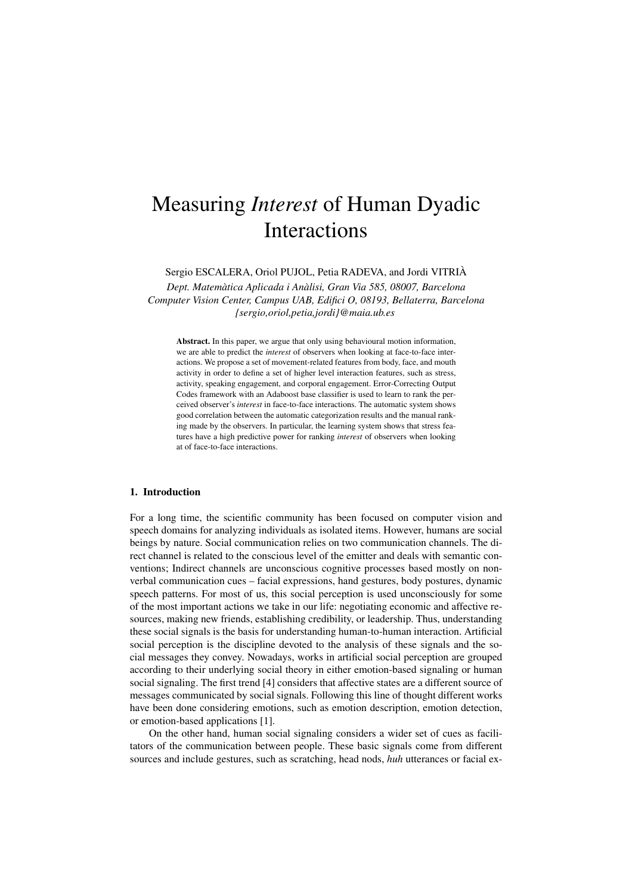# Measuring *Interest* of Human Dyadic Interactions

Sergio ESCALERA, Oriol PUJOL, Petia RADEVA, and Jordi VITRIÀ

*Dept. Matemàtica Aplicada i Anàlisi, Gran Via 585, 08007, Barcelona Computer Vision Center, Campus UAB, Edifici O, 08193, Bellaterra, Barcelona {sergio,oriol,petia,jordi}@maia.ub.es*

Abstract. In this paper, we argue that only using behavioural motion information, we are able to predict the *interest* of observers when looking at face-to-face interactions. We propose a set of movement-related features from body, face, and mouth activity in order to define a set of higher level interaction features, such as stress, activity, speaking engagement, and corporal engagement. Error-Correcting Output Codes framework with an Adaboost base classifier is used to learn to rank the perceived observer's *interest* in face-to-face interactions. The automatic system shows good correlation between the automatic categorization results and the manual ranking made by the observers. In particular, the learning system shows that stress features have a high predictive power for ranking *interest* of observers when looking at of face-to-face interactions.

# 1. Introduction

For a long time, the scientific community has been focused on computer vision and speech domains for analyzing individuals as isolated items. However, humans are social beings by nature. Social communication relies on two communication channels. The direct channel is related to the conscious level of the emitter and deals with semantic conventions; Indirect channels are unconscious cognitive processes based mostly on nonverbal communication cues – facial expressions, hand gestures, body postures, dynamic speech patterns. For most of us, this social perception is used unconsciously for some of the most important actions we take in our life: negotiating economic and affective resources, making new friends, establishing credibility, or leadership. Thus, understanding these social signals is the basis for understanding human-to-human interaction. Artificial social perception is the discipline devoted to the analysis of these signals and the social messages they convey. Nowadays, works in artificial social perception are grouped according to their underlying social theory in either emotion-based signaling or human social signaling. The first trend [4] considers that affective states are a different source of messages communicated by social signals. Following this line of thought different works have been done considering emotions, such as emotion description, emotion detection, or emotion-based applications [1].

On the other hand, human social signaling considers a wider set of cues as facilitators of the communication between people. These basic signals come from different sources and include gestures, such as scratching, head nods, *huh* utterances or facial ex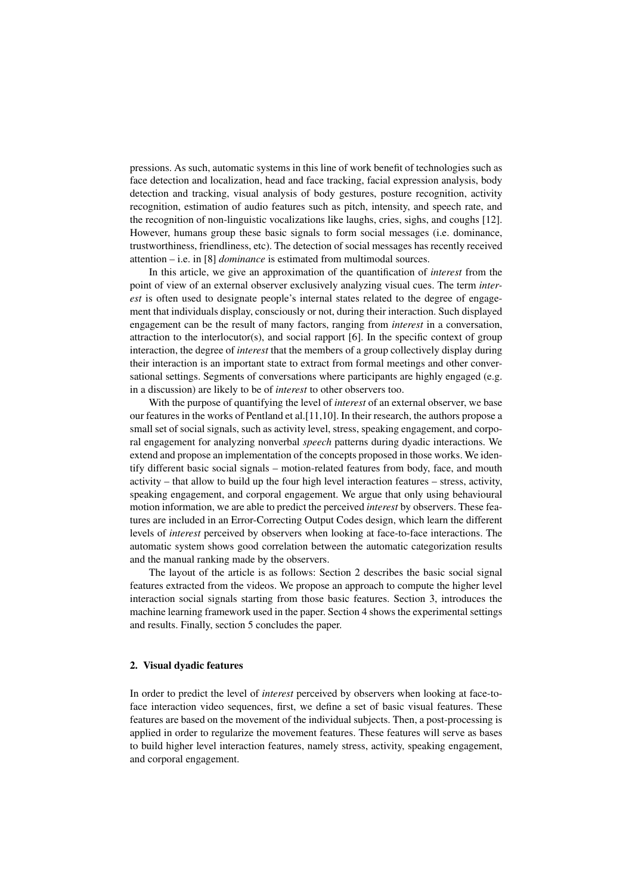pressions. As such, automatic systems in this line of work benefit of technologies such as face detection and localization, head and face tracking, facial expression analysis, body detection and tracking, visual analysis of body gestures, posture recognition, activity recognition, estimation of audio features such as pitch, intensity, and speech rate, and the recognition of non-linguistic vocalizations like laughs, cries, sighs, and coughs [12]. However, humans group these basic signals to form social messages (i.e. dominance, trustworthiness, friendliness, etc). The detection of social messages has recently received attention – i.e. in [8] *dominance* is estimated from multimodal sources.

In this article, we give an approximation of the quantification of *interest* from the point of view of an external observer exclusively analyzing visual cues. The term *interest* is often used to designate people's internal states related to the degree of engagement that individuals display, consciously or not, during their interaction. Such displayed engagement can be the result of many factors, ranging from *interest* in a conversation, attraction to the interlocutor(s), and social rapport  $[6]$ . In the specific context of group interaction, the degree of *interest* that the members of a group collectively display during their interaction is an important state to extract from formal meetings and other conversational settings. Segments of conversations where participants are highly engaged (e.g. in a discussion) are likely to be of *interest* to other observers too.

With the purpose of quantifying the level of *interest* of an external observer, we base our features in the works of Pentland et al.[11,10]. In their research, the authors propose a small set of social signals, such as activity level, stress, speaking engagement, and corporal engagement for analyzing nonverbal *speech* patterns during dyadic interactions. We extend and propose an implementation of the concepts proposed in those works. We identify different basic social signals – motion-related features from body, face, and mouth activity – that allow to build up the four high level interaction features – stress, activity, speaking engagement, and corporal engagement. We argue that only using behavioural motion information, we are able to predict the perceived *interest* by observers. These features are included in an Error-Correcting Output Codes design, which learn the different levels of *interest* perceived by observers when looking at face-to-face interactions. The automatic system shows good correlation between the automatic categorization results and the manual ranking made by the observers.

The layout of the article is as follows: Section 2 describes the basic social signal features extracted from the videos. We propose an approach to compute the higher level interaction social signals starting from those basic features. Section 3, introduces the machine learning framework used in the paper. Section 4 shows the experimental settings and results. Finally, section 5 concludes the paper.

## 2. Visual dyadic features

In order to predict the level of *interest* perceived by observers when looking at face-toface interaction video sequences, first, we define a set of basic visual features. These features are based on the movement of the individual subjects. Then, a post-processing is applied in order to regularize the movement features. These features will serve as bases to build higher level interaction features, namely stress, activity, speaking engagement, and corporal engagement.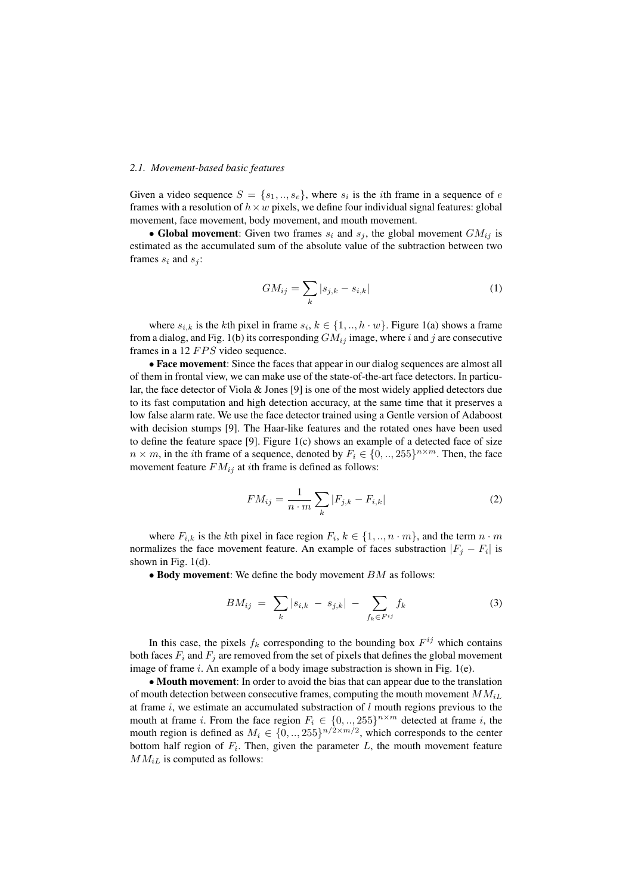## *2.1. Movement-based basic features*

Given a video sequence  $S = \{s_1, ..., s_e\}$ , where  $s_i$  is the *i*th frame in a sequence of e frames with a resolution of  $h \times w$  pixels, we define four individual signal features: global movement, face movement, body movement, and mouth movement.

• Global movement: Given two frames  $s_i$  and  $s_j$ , the global movement  $GM_{ij}$  is estimated as the accumulated sum of the absolute value of the subtraction between two frames  $s_i$  and  $s_j$ :

$$
GM_{ij} = \sum_{k} |s_{j,k} - s_{i,k}| \tag{1}
$$

where  $s_{i,k}$  is the kth pixel in frame  $s_i, k \in \{1, ..., h \cdot w\}$ . Figure 1(a) shows a frame from a dialog, and Fig. 1(b) its corresponding  $GM_{ij}$  image, where i and j are consecutive frames in a 12  $FPS$  video sequence.

• Face movement: Since the faces that appear in our dialog sequences are almost all of them in frontal view, we can make use of the state-of-the-art face detectors. In particular, the face detector of Viola & Jones [9] is one of the most widely applied detectors due to its fast computation and high detection accuracy, at the same time that it preserves a low false alarm rate. We use the face detector trained using a Gentle version of Adaboost with decision stumps [9]. The Haar-like features and the rotated ones have been used to define the feature space [9]. Figure 1(c) shows an example of a detected face of size  $n \times m$ , in the *i*th frame of a sequence, denoted by  $F_i \in \{0, ..., 255\}^{n \times m}$ . Then, the face movement feature  $FM_{ij}$  at *i*th frame is defined as follows:

$$
FM_{ij} = \frac{1}{n \cdot m} \sum_{k} |F_{j,k} - F_{i,k}|
$$
 (2)

where  $F_{i,k}$  is the kth pixel in face region  $F_i, k \in \{1, ..., n \cdot m\}$ , and the term  $n \cdot m$ normalizes the face movement feature. An example of faces substraction  $|F_j - F_i|$  is shown in Fig. 1(d).

 $\bullet$  Body movement: We define the body movement  $BM$  as follows:

$$
BM_{ij} = \sum_{k} |s_{i,k} - s_{j,k}| - \sum_{f_k \in F^{ij}} f_k \tag{3}
$$

In this case, the pixels  $f_k$  corresponding to the bounding box  $F^{ij}$  which contains both faces  $F_i$  and  $F_j$  are removed from the set of pixels that defines the global movement image of frame  $i$ . An example of a body image substraction is shown in Fig. 1(e).

• Mouth movement: In order to avoid the bias that can appear due to the translation of mouth detection between consecutive frames, computing the mouth movement  $MM_{iL}$ at frame i, we estimate an accumulated substraction of  $l$  mouth regions previous to the mouth at frame *i*. From the face region  $F_i \in \{0, \ldots, 255\}^{n \times m}$  detected at frame *i*, the mouth region is defined as  $M_i \in \{0,..,255\}^{n/2 \times m/2}$ , which corresponds to the center bottom half region of  $F_i$ . Then, given the parameter  $L$ , the mouth movement feature  $MM_{iL}$  is computed as follows: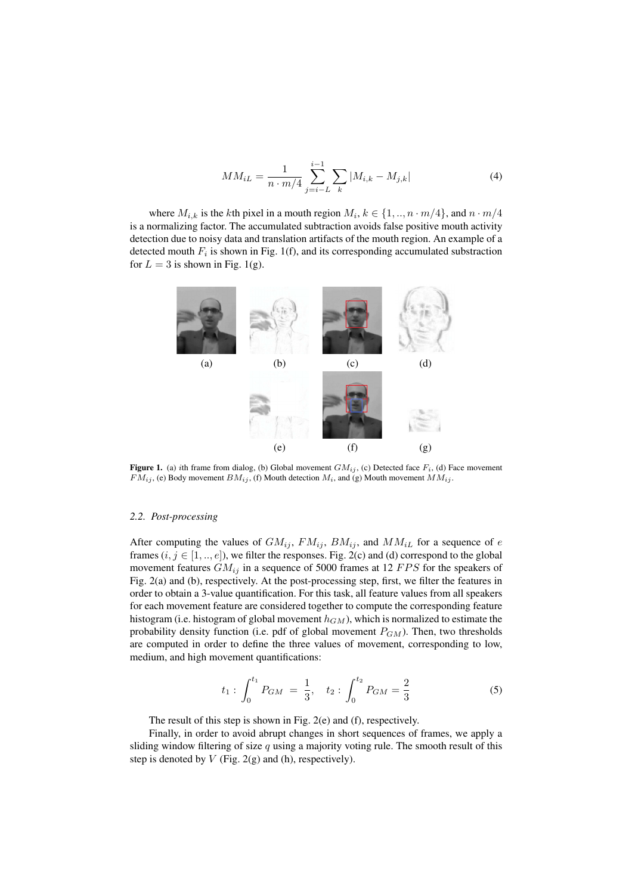$$
MM_{iL} = \frac{1}{n \cdot m/4} \sum_{j=i-L}^{i-1} \sum_{k} |M_{i,k} - M_{j,k}| \tag{4}
$$

where  $M_{i,k}$  is the kth pixel in a mouth region  $M_i, k \in \{1, ..., n \cdot m/4\}$ , and  $n \cdot m/4$ is a normalizing factor. The accumulated subtraction avoids false positive mouth activity detection due to noisy data and translation artifacts of the mouth region. An example of a detected mouth  $F_i$  is shown in Fig. 1(f), and its corresponding accumulated substraction for  $L = 3$  is shown in Fig. 1(g).



**Figure 1.** (a) ith frame from dialog, (b) Global movement  $GM_{ij}$ , (c) Detected face  $F_i$ , (d) Face movement  $FM_{ij}$ , (e) Body movement  $BM_{ij}$ , (f) Mouth detection  $M_i$ , and (g) Mouth movement  $MM_{ij}$ .

#### *2.2. Post-processing*

After computing the values of  $GM_{ij}$ ,  $FM_{ij}$ ,  $BM_{ij}$ , and  $MM_{iL}$  for a sequence of e frames  $(i, j \in [1, ..., e])$ , we filter the responses. Fig. 2(c) and (d) correspond to the global movement features  $GM_{ij}$  in a sequence of 5000 frames at 12  $FPS$  for the speakers of Fig. 2(a) and (b), respectively. At the post-processing step, first, we filter the features in order to obtain a 3-value quantification. For this task, all feature values from all speakers for each movement feature are considered together to compute the corresponding feature histogram (i.e. histogram of global movement  $h_{GM}$ ), which is normalized to estimate the probability density function (i.e. pdf of global movement  $P_{GM}$ ). Then, two thresholds are computed in order to define the three values of movement, corresponding to low, medium, and high movement quantifications:

$$
t_1: \int_0^{t_1} P_{GM} = \frac{1}{3}, \quad t_2: \int_0^{t_2} P_{GM} = \frac{2}{3} \tag{5}
$$

The result of this step is shown in Fig. 2(e) and (f), respectively.

Finally, in order to avoid abrupt changes in short sequences of frames, we apply a sliding window filtering of size  $q$  using a majority voting rule. The smooth result of this step is denoted by  $V$  (Fig. 2(g) and (h), respectively).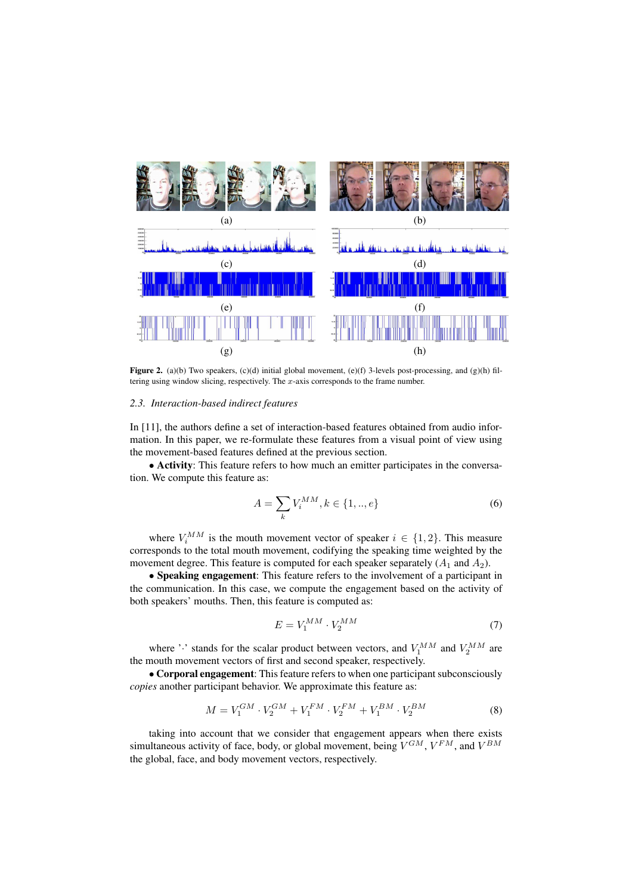

Figure 2. (a)(b) Two speakers, (c)(d) initial global movement, (e)(f) 3-levels post-processing, and (g)(h) filtering using window slicing, respectively. The  $x$ -axis corresponds to the frame number.

#### *2.3. Interaction-based indirect features*

In [11], the authors define a set of interaction-based features obtained from audio information. In this paper, we re-formulate these features from a visual point of view using the movement-based features defined at the previous section.

• Activity: This feature refers to how much an emitter participates in the conversation. We compute this feature as:

$$
A = \sum_{k} V_i^{MM}, k \in \{1, .., e\}
$$
 (6)

where  $V_i^{MM}$  is the mouth movement vector of speaker  $i \in \{1,2\}$ . This measure corresponds to the total mouth movement, codifying the speaking time weighted by the movement degree. This feature is computed for each speaker separately  $(A_1 \text{ and } A_2)$ .

• Speaking engagement: This feature refers to the involvement of a participant in the communication. In this case, we compute the engagement based on the activity of both speakers' mouths. Then, this feature is computed as:

$$
E = V_1^{MM} \cdot V_2^{MM} \tag{7}
$$

where ' $\cdot$ ' stands for the scalar product between vectors, and  $V_1^{MM}$  and  $V_2^{MM}$  are the mouth movement vectors of first and second speaker, respectively.

• Corporal engagement: This feature refers to when one participant subconsciously *copies* another participant behavior. We approximate this feature as:

$$
M = V_1^{GM} \cdot V_2^{GM} + V_1^{FM} \cdot V_2^{FM} + V_1^{BM} \cdot V_2^{BM}
$$
 (8)

taking into account that we consider that engagement appears when there exists simultaneous activity of face, body, or global movement, being  $V^{GM}$ ,  $V^{FM}$ , and  $V^{BM}$ the global, face, and body movement vectors, respectively.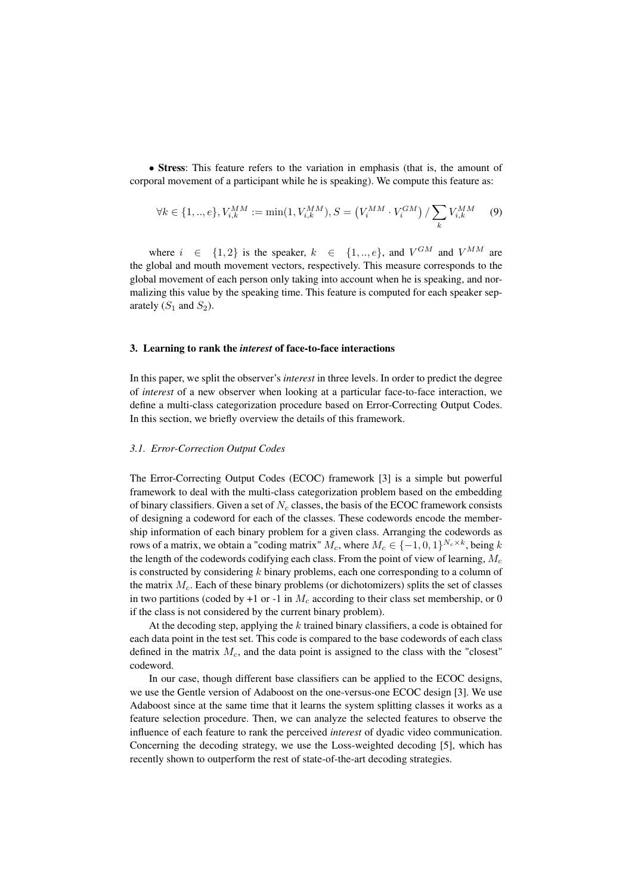• Stress: This feature refers to the variation in emphasis (that is, the amount of corporal movement of a participant while he is speaking). We compute this feature as:

$$
\forall k \in \{1,..,e\}, V_{i,k}^{MM} := \min(1, V_{i,k}^{MM}), S = (V_i^{MM} \cdot V_i^{GM}) / \sum_k V_{i,k}^{MM} \tag{9}
$$

where  $i \in \{1,2\}$  is the speaker,  $k \in \{1,..,e\}$ , and  $V^{GM}$  and  $V^{MM}$  are the global and mouth movement vectors, respectively. This measure corresponds to the global movement of each person only taking into account when he is speaking, and normalizing this value by the speaking time. This feature is computed for each speaker separately  $(S_1 \text{ and } S_2)$ .

## 3. Learning to rank the *interest* of face-to-face interactions

In this paper, we split the observer's *interest* in three levels. In order to predict the degree of *interest* of a new observer when looking at a particular face-to-face interaction, we define a multi-class categorization procedure based on Error-Correcting Output Codes. In this section, we briefly overview the details of this framework.

# *3.1. Error-Correction Output Codes*

The Error-Correcting Output Codes (ECOC) framework [3] is a simple but powerful framework to deal with the multi-class categorization problem based on the embedding of binary classifiers. Given a set of  $N_c$  classes, the basis of the ECOC framework consists of designing a codeword for each of the classes. These codewords encode the membership information of each binary problem for a given class. Arranging the codewords as rows of a matrix, we obtain a "coding matrix"  $M_c$ , where  $M_c \in \{-1,0,1\}^{N_c \times k}$ , being k the length of the codewords codifying each class. From the point of view of learning,  $M_c$ is constructed by considering  $k$  binary problems, each one corresponding to a column of the matrix  $M_c$ . Each of these binary problems (or dichotomizers) splits the set of classes in two partitions (coded by +1 or -1 in  $M_c$  according to their class set membership, or 0 if the class is not considered by the current binary problem).

At the decoding step, applying the k trained binary classifiers, a code is obtained for each data point in the test set. This code is compared to the base codewords of each class defined in the matrix  $M_c$ , and the data point is assigned to the class with the "closest" codeword.

In our case, though different base classifiers can be applied to the ECOC designs, we use the Gentle version of Adaboost on the one-versus-one ECOC design [3]. We use Adaboost since at the same time that it learns the system splitting classes it works as a feature selection procedure. Then, we can analyze the selected features to observe the influence of each feature to rank the perceived *interest* of dyadic video communication. Concerning the decoding strategy, we use the Loss-weighted decoding [5], which has recently shown to outperform the rest of state-of-the-art decoding strategies.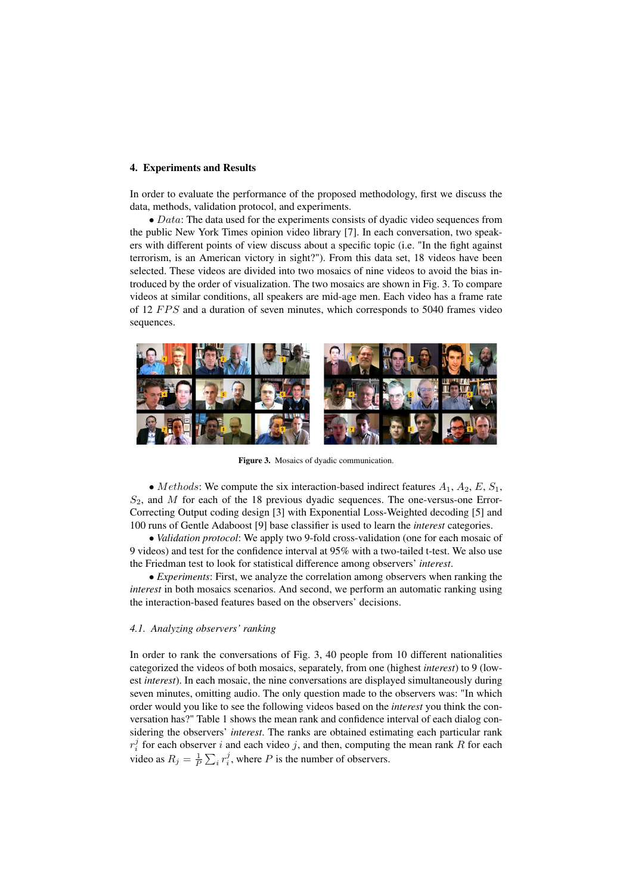# 4. Experiments and Results

In order to evaluate the performance of the proposed methodology, first we discuss the data, methods, validation protocol, and experiments.

 $\bullet$  *Data*: The data used for the experiments consists of dyadic video sequences from the public New York Times opinion video library [7]. In each conversation, two speakers with different points of view discuss about a specific topic (i.e. "In the fight against terrorism, is an American victory in sight?"). From this data set, 18 videos have been selected. These videos are divided into two mosaics of nine videos to avoid the bias introduced by the order of visualization. The two mosaics are shown in Fig. 3. To compare videos at similar conditions, all speakers are mid-age men. Each video has a frame rate of 12  $FPS$  and a duration of seven minutes, which corresponds to 5040 frames video sequences.



Figure 3. Mosaics of dyadic communication.

• Methods: We compute the six interaction-based indirect features  $A_1$ ,  $A_2$ ,  $E$ ,  $S_1$ ,  $S_2$ , and M for each of the 18 previous dyadic sequences. The one-versus-one Error-Correcting Output coding design [3] with Exponential Loss-Weighted decoding [5] and 100 runs of Gentle Adaboost [9] base classifier is used to learn the *interest* categories.

• *Validation protocol*: We apply two 9-fold cross-validation (one for each mosaic of 9 videos) and test for the confidence interval at 95% with a two-tailed t-test. We also use the Friedman test to look for statistical difference among observers' *interest*.

• *Experiments*: First, we analyze the correlation among observers when ranking the *interest* in both mosaics scenarios. And second, we perform an automatic ranking using the interaction-based features based on the observers' decisions.

#### *4.1. Analyzing observers' ranking*

In order to rank the conversations of Fig. 3, 40 people from 10 different nationalities categorized the videos of both mosaics, separately, from one (highest *interest*) to 9 (lowest *interest*). In each mosaic, the nine conversations are displayed simultaneously during seven minutes, omitting audio. The only question made to the observers was: "In which order would you like to see the following videos based on the *interest* you think the conversation has?" Table 1 shows the mean rank and confidence interval of each dialog considering the observers' *interest*. The ranks are obtained estimating each particular rank  $r_i^j$  for each observer i and each video j, and then, computing the mean rank R for each video as  $R_j = \frac{1}{P} \sum_i r_i^j$ , where P is the number of observers.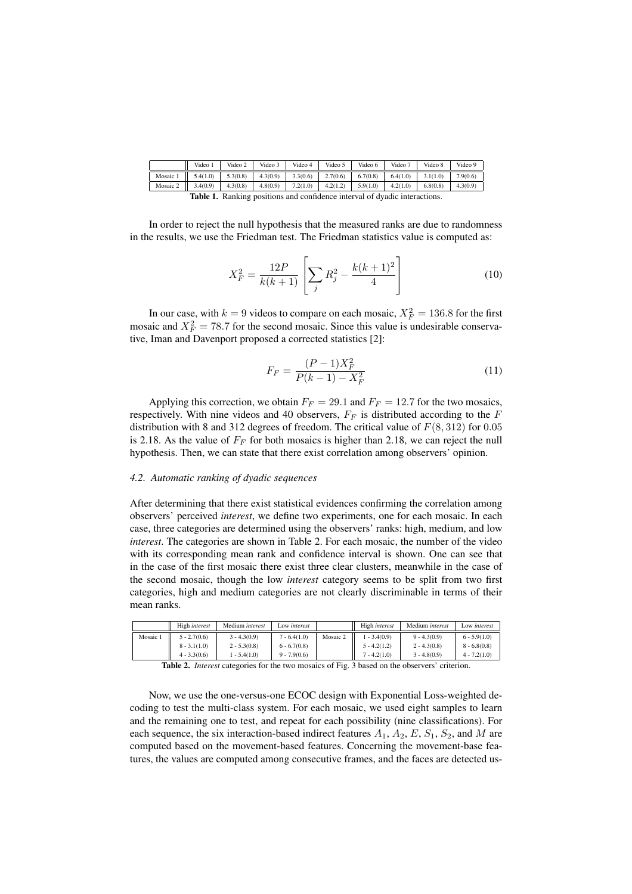|          | Video 1            | Video 2  | Video 3  | Video 4  | Video 5  | Video 6  | Video 7  | Video 8  | Video 9  |
|----------|--------------------|----------|----------|----------|----------|----------|----------|----------|----------|
| Mosaic 1 | $1 \quad 5.4(1.0)$ | 5.3(0.8) | 4.3(0.9) | 3.3(0.6) | 2.7(0.6) | 6.7(0.8) | 6.4(1.0) | 3.1(1.0) | 7.9(0.6) |
| Mosaic 2 | 13.4(0.9)          | 4.3(0.8) | 4.8(0.9) | 7.2(1.0) | 4.2(1.2) | 5.9(1.0) | 4.2(1.0) | 6.8(0.8) | 4.3(0.9) |
|          | ________           |          |          |          |          | .        |          |          |          |

Table 1. Ranking positions and confidence interval of dyadic interactions.

In order to reject the null hypothesis that the measured ranks are due to randomness in the results, we use the Friedman test. The Friedman statistics value is computed as:

$$
X_F^2 = \frac{12P}{k(k+1)} \left[ \sum_j R_j^2 - \frac{k(k+1)^2}{4} \right] \tag{10}
$$

In our case, with  $k = 9$  videos to compare on each mosaic,  $X_F^2 = 136.8$  for the first mosaic and  $X_F^2 = 78.7$  for the second mosaic. Since this value is undesirable conservative, Iman and Davenport proposed a corrected statistics [2]:

$$
F_F = \frac{(P-1)X_F^2}{P(k-1) - X_F^2}
$$
\n(11)

Applying this correction, we obtain  $F_F = 29.1$  and  $F_F = 12.7$  for the two mosaics, respectively. With nine videos and 40 observers,  $F_F$  is distributed according to the F distribution with 8 and 312 degrees of freedom. The critical value of  $F(8, 312)$  for 0.05 is 2.18. As the value of  $F_F$  for both mosaics is higher than 2.18, we can reject the null hypothesis. Then, we can state that there exist correlation among observers' opinion.

#### *4.2. Automatic ranking of dyadic sequences*

After determining that there exist statistical evidences confirming the correlation among observers' perceived *interest*, we define two experiments, one for each mosaic. In each case, three categories are determined using the observers' ranks: high, medium, and low *interest*. The categories are shown in Table 2. For each mosaic, the number of the video with its corresponding mean rank and confidence interval is shown. One can see that in the case of the first mosaic there exist three clear clusters, meanwhile in the case of the second mosaic, though the low *interest* category seems to be split from two first categories, high and medium categories are not clearly discriminable in terms of their mean ranks.

|        | High interest  | Medium <i>interest</i> | Low interest   |          | High <i>interest</i> | Medium <i>interest</i> | Low interest   |
|--------|----------------|------------------------|----------------|----------|----------------------|------------------------|----------------|
| Mosaic | $5 - 2.7(0.6)$ | $3 - 4.3(0.9)$         | $7 - 6.4(1.0)$ | Mosaic 2 | $1 - 3.4(0.9)$       | $9 - 4.3(0.9)$         | $6 - 5.9(1.0)$ |
|        | $8 - 3.1(1.0)$ | $2 - 5.3(0.8)$         | $6 - 6.7(0.8)$ |          | $5 - 4.2(1.2)$       | $2 - 4.3(0.8)$         | $8 - 6.8(0.8)$ |
|        | $4 - 3.3(0.6)$ | $1 - 5.4(1.0)$         | $9 - 7.9(0.6)$ |          | $7 - 4.2(1.0)$       | $3 - 4.8(0.9)$         | $4 - 7.2(1.0)$ |

Table 2. *Interest* categories for the two mosaics of Fig. 3 based on the observers' criterion.

Now, we use the one-versus-one ECOC design with Exponential Loss-weighted decoding to test the multi-class system. For each mosaic, we used eight samples to learn and the remaining one to test, and repeat for each possibility (nine classifications). For each sequence, the six interaction-based indirect features  $A_1$ ,  $A_2$ ,  $E$ ,  $S_1$ ,  $S_2$ , and M are computed based on the movement-based features. Concerning the movement-base features, the values are computed among consecutive frames, and the faces are detected us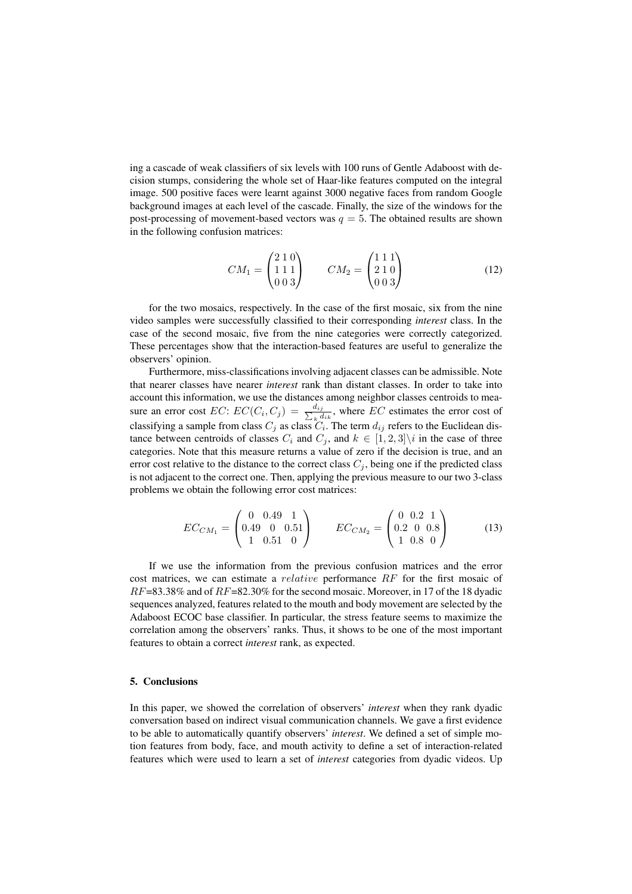ing a cascade of weak classifiers of six levels with 100 runs of Gentle Adaboost with decision stumps, considering the whole set of Haar-like features computed on the integral image. 500 positive faces were learnt against 3000 negative faces from random Google background images at each level of the cascade. Finally, the size of the windows for the post-processing of movement-based vectors was  $q = 5$ . The obtained results are shown in the following confusion matrices:

$$
CM_1 = \begin{pmatrix} 2 & 1 & 0 \\ 1 & 1 & 1 \\ 0 & 0 & 3 \end{pmatrix} \qquad CM_2 = \begin{pmatrix} 1 & 1 & 1 \\ 2 & 1 & 0 \\ 0 & 0 & 3 \end{pmatrix} \tag{12}
$$

for the two mosaics, respectively. In the case of the first mosaic, six from the nine video samples were successfully classified to their corresponding *interest* class. In the case of the second mosaic, five from the nine categories were correctly categorized. These percentages show that the interaction-based features are useful to generalize the observers' opinion.

Furthermore, miss-classifications involving adjacent classes can be admissible. Note that nearer classes have nearer *interest* rank than distant classes. In order to take into account this information, we use the distances among neighbor classes centroids to measure an error cost  $EC$ :  $EC(C_i, C_j) = \frac{d_{ij}}{\sum_{i} d_{ij}}$  $\frac{a_{ij}}{k} \frac{d_{ik}}{d_{ik}}$ , where *EC* estimates the error cost of classifying a sample from class  $C_j$  as class  $C_i$ . The term  $d_{ij}$  refers to the Euclidean distance between centroids of classes  $C_i$  and  $C_j$ , and  $k \in [1, 2, 3] \setminus i$  in the case of three categories. Note that this measure returns a value of zero if the decision is true, and an error cost relative to the distance to the correct class  $C_i$ , being one if the predicted class is not adjacent to the correct one. Then, applying the previous measure to our two 3-class problems we obtain the following error cost matrices:

$$
EC_{CM_1} = \begin{pmatrix} 0 & 0.49 & 1 \\ 0.49 & 0 & 0.51 \\ 1 & 0.51 & 0 \end{pmatrix} \qquad EC_{CM_2} = \begin{pmatrix} 0 & 0.2 & 1 \\ 0.2 & 0 & 0.8 \\ 1 & 0.8 & 0 \end{pmatrix}
$$
 (13)

If we use the information from the previous confusion matrices and the error cost matrices, we can estimate a *relative* performance  $RF$  for the first mosaic of  $RF=83.38\%$  and of  $RF=82.30\%$  for the second mosaic. Moreover, in 17 of the 18 dyadic sequences analyzed, features related to the mouth and body movement are selected by the Adaboost ECOC base classifier. In particular, the stress feature seems to maximize the correlation among the observers' ranks. Thus, it shows to be one of the most important features to obtain a correct *interest* rank, as expected.

### 5. Conclusions

In this paper, we showed the correlation of observers' *interest* when they rank dyadic conversation based on indirect visual communication channels. We gave a first evidence to be able to automatically quantify observers' *interest*. We defined a set of simple motion features from body, face, and mouth activity to define a set of interaction-related features which were used to learn a set of *interest* categories from dyadic videos. Up